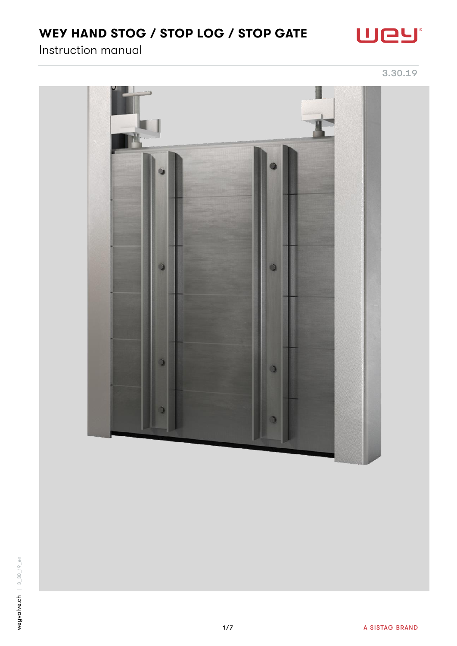# WEY HAND STOG / STOP LOG / STOP GATE



Instruction manual

3.30.19



weyvalve.ch  $3.30^{+19.40}_{-0.00}$ weyvalve.ch | 3\_30\_19\_en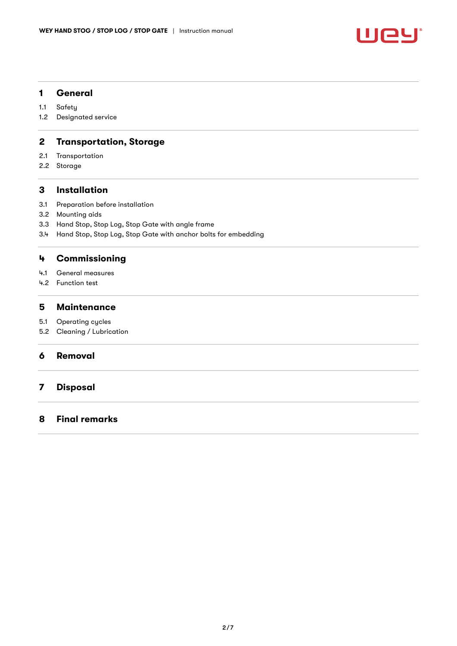

# 1 [General](#page-2-0)

- 1.1 [Safety](#page-2-1)
- 1.2 [Designated service](#page-2-2)

# 2 [Transportation, Storage](#page-2-3)

- 2.1 [Transportation](#page-2-4)
- 2.2 [Storage](#page-2-5)

# 3 [Installation](#page-2-6)

- 3.1 [Preparation before installation](#page-2-7)
- 3.2 [Mounting aids](#page-3-0)
- 3.3 [Hand Stop, Stop Log, Stop Gate with angle frame](#page-3-1)
- 3.4 [Hand Stop, Stop Log, Stop Gate with anchor bolts for embedding](#page-5-0)

# 4 [Commissioning](#page-6-0)

- 4.1 [General measures](#page-6-1)
- 4.2 [Function test](#page-6-2)

# 5 [Maintenance](#page-6-3)

- 5.1 [Operating cycles](#page-6-4)
- 5.2 [Cleaning / Lubrication](#page-6-5)

# 6 [Removal](#page-6-6)

# 7 [Disposal](#page-6-7)

# 8 [Final remarks](#page-6-8)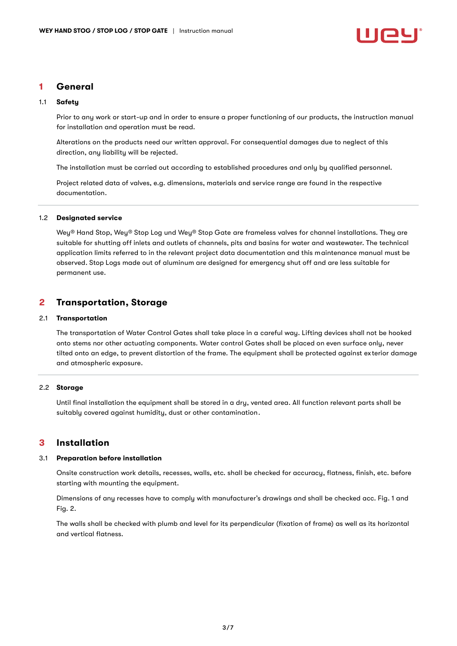

# <span id="page-2-0"></span>1 General

#### <span id="page-2-1"></span>1.1 Safety

Prior to any work or start-up and in order to ensure a proper functioning of our products, the instruction manual for installation and operation must be read.

Alterations on the products need our written approval. For consequential damages due to neglect of this direction, any liability will be rejected.

The installation must be carried out according to established procedures and only by qualified personnel.

Project related data of valves, e.g. dimensions, materials and service range are found in the respective documentation.

### <span id="page-2-2"></span>1.2 Designated service

Wey® Hand Stop, Wey® Stop Log und Wey® Stop Gate are frameless valves for channel installations. They are suitable for shutting off inlets and outlets of channels, pits and basins for water and wastewater. The technical application limits referred to in the relevant project data documentation and this maintenance manual must be observed. Stop Logs made out of aluminum are designed for emergency shut off and are less suitable for permanent use.

# <span id="page-2-3"></span>2 Transportation, Storage

#### <span id="page-2-4"></span>2.1 Transportation

The transportation of Water Control Gates shall take place in a careful way. Lifting devices shall not be hooked onto stems nor other actuating components. Water control Gates shall be placed on even surface only, never tilted onto an edge, to prevent distortion of the frame. The equipment shall be protected against ex terior damage and atmospheric exposure.

### <span id="page-2-5"></span>2.2 Storage

Until final installation the equipment shall be stored in a dry, vented area. All function relevant parts shall be suitably covered against humidity, dust or other contamination.

# <span id="page-2-6"></span>3 Installation

#### <span id="page-2-7"></span>3.1 Preparation before installation

Onsite construction work details, recesses, walls, etc. shall be checked for accuracy, flatness, finish, etc. before starting with mounting the equipment.

Dimensions of any recesses have to comply with manufacturer's drawings and shall be checked acc. Fig. 1 and Fig. 2.

The walls shall be checked with plumb and level for its perpendicular (fixation of frame) as well as its horizontal and vertical flatness.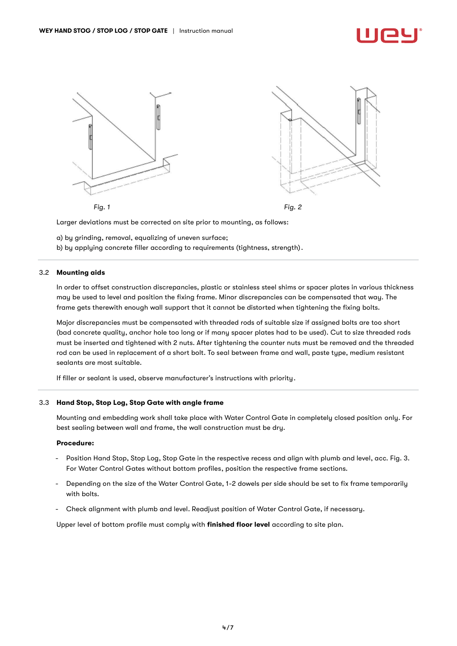

Larger deviations must be corrected on site prior to mounting, as follows:

a) by grinding, removal, equalizing of uneven surface;

b) by applying concrete filler according to requirements (tightness, strength).

### <span id="page-3-0"></span>3.2 Mounting aids

In order to offset construction discrepancies, plastic or stainless steel shims or spacer plates in various thickness may be used to level and position the fixing frame. Minor discrepancies can be compensated that way. The frame gets therewith enough wall support that it cannot be distorted when tightening the fixing bolts.

Major discrepancies must be compensated with threaded rods of suitable size if assigned bolts are too short (bad concrete quality, anchor hole too long or if many spacer plates had to be used). Cut to size threaded rods must be inserted and tightened with 2 nuts. After tightening the counter nuts must be removed and the threaded rod can be used in replacement of a short bolt. To seal between frame and wall, paste type, medium resistant sealants are most suitable.

If filler or sealant is used, observe manufacturer's instructions with priority.

#### <span id="page-3-1"></span>3.3 Hand Stop, Stop Log, Stop Gate with angle frame

Mounting and embedding work shall take place with Water Control Gate in completely closed position only. For best sealing between wall and frame, the wall construction must be dry.

#### Procedure:

- Position Hand Stop, Stop Log, Stop Gate in the respective recess and align with plumb and level, acc. Fig. 3. For Water Control Gates without bottom profiles, position the respective frame sections.
- Depending on the size of the Water Control Gate, 1-2 dowels per side should be set to fix frame temporarily with bolts.
- Check alignment with plumb and level. Readjust position of Water Control Gate, if necessary.

Upper level of bottom profile must comply with finished floor level according to site plan.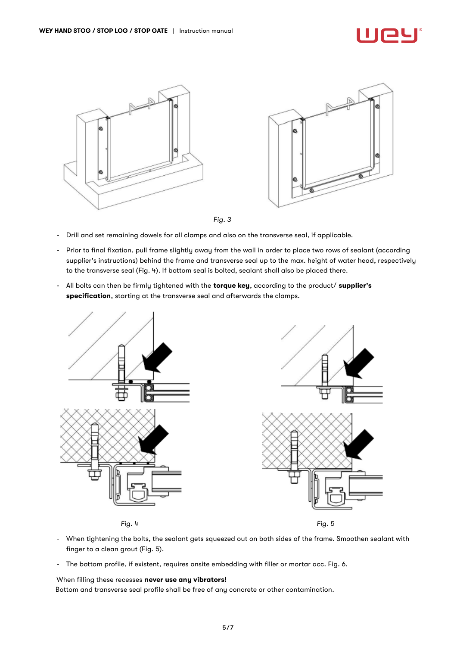

*Fig. 3*

- Drill and set remaining dowels for all clamps and also on the transverse seal, if applicable.
- Prior to final fixation, pull frame slightly away from the wall in order to place two rows of sealant (according supplier's instructions) behind the frame and transverse seal up to the max. height of water head, respectively to the transverse seal (Fig. 4). If bottom seal is bolted, sealant shall also be placed there.
- All bolts can then be firmly tightened with the torque key, according to the product/ supplier's specification, starting at the transverse seal and afterwards the clamps.



- When tightening the bolts, the sealant gets squeezed out on both sides of the frame. Smoothen sealant with finger to a clean grout (Fig. 5).
- The bottom profile, if existent, requires onsite embedding with filler or mortar acc. Fig. 6.

When filling these recesses never use any vibrators!

Bottom and transverse seal profile shall be free of any concrete or other contamination.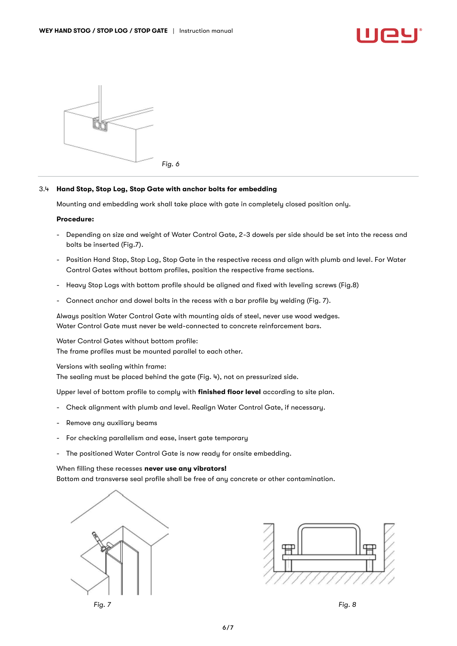

### <span id="page-5-0"></span>3.4 Hand Stop, Stop Log, Stop Gate with anchor bolts for embedding

Mounting and embedding work shall take place with gate in completely closed position only.

#### Procedure:

- Depending on size and weight of Water Control Gate, 2-3 dowels per side should be set into the recess and bolts be inserted (Fig.7).
- Position Hand Stop, Stop Log, Stop Gate in the respective recess and align with plumb and level. For Water Control Gates without bottom profiles, position the respective frame sections.
- Heavy Stop Logs with bottom profile should be aligned and fixed with leveling screws (Fig.8)
- Connect anchor and dowel bolts in the recess with a bar profile by welding (Fig. 7).

Alwaus position Water Control Gate with mounting aids of steel, never use wood wedges. Water Control Gate must never be weld-connected to concrete reinforcement bars.

Water Control Gates without bottom profile: The frame profiles must be mounted parallel to each other.

Versions with sealing within frame:

The sealing must be placed behind the gate (Fig. 4), not on pressurized side.

Upper level of bottom profile to comply with finished floor level according to site plan.

- Check alignment with plumb and level. Realign Water Control Gate, if necessary.
- Remove any auxiliary beams
- For checking parallelism and ease, insert gate temporary
- The positioned Water Control Gate is now ready for onsite embedding.

#### When filling these recesses never use any vibrators!

Bottom and transverse seal profile shall be free of any concrete or other contamination.